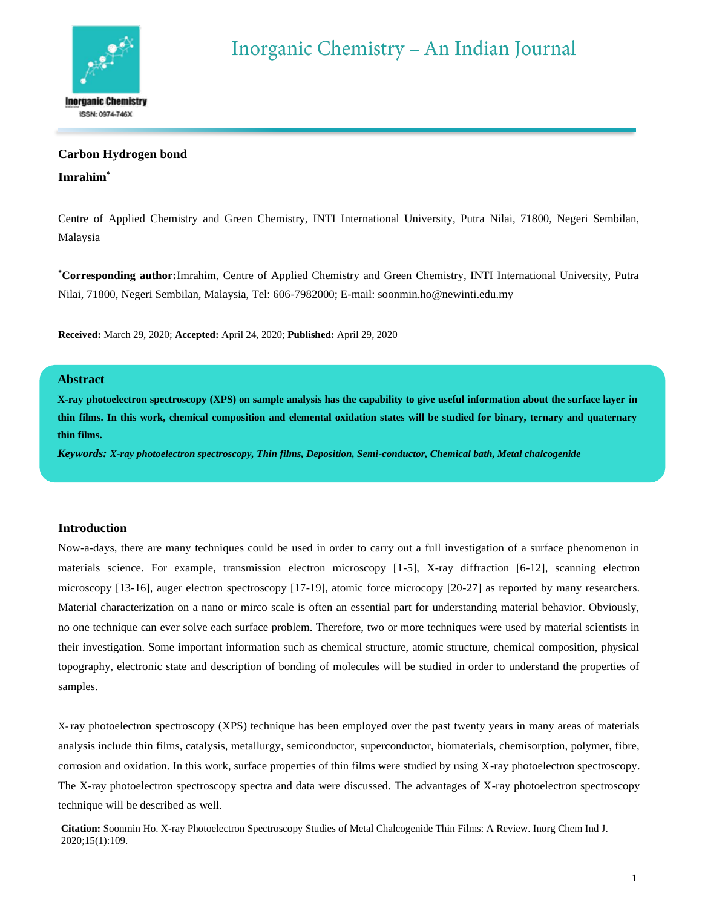

# **Carbon Hydrogen bond**

# **Imrahim\***

Centre of Applied Chemistry and Green Chemistry, INTI International University, Putra Nilai, 71800, Negeri Sembilan, Malaysia

**\*Corresponding author:**Imrahim, Centre of Applied Chemistry and Green Chemistry, INTI International University, Putra Nilai, 71800, Negeri Sembilan, Malaysia, Tel: 606-7982000; E-mail[: soonmin.ho@newinti.edu.my](mailto:soonmin.ho@newinti.edu.my)

**Received:** March 29, 2020; **Accepted:** April 24, 2020; **Published:** April 29, 2020

# **Abstract**

**X-ray photoelectron spectroscopy (XPS) on sample analysis has the capability to give useful information about the surface layer in thin films. In this work, chemical composition and elemental oxidation states will be studied for binary, ternary and quaternary thin films.**

*Keywords: X-ray photoelectron spectroscopy, Thin films, Deposition, Semi-conductor, Chemical bath, Metal chalcogenide*

### **Introduction**

Now-a-days, there are many techniques could be used in order to carry out a full investigation of a surface phenomenon in materials science. For example, transmission electron microscopy [1-5], X-ray diffraction [6-12], scanning electron microscopy [13-16], auger electron spectroscopy [17-19], atomic force microcopy [20-27] as reported by many researchers. Material characterization on a nano or mirco scale is often an essential part for understanding material behavior. Obviously, no one technique can ever solve each surface problem. Therefore, two or more techniques were used by material scientists in their investigation. Some important information such as chemical structure, atomic structure, chemical composition, physical topography, electronic state and description of bonding of molecules will be studied in order to understand the properties of samples.

X- ray photoelectron spectroscopy (XPS) technique has been employed over the past twenty years in many areas of materials analysis include thin films, catalysis, metallurgy, semiconductor, superconductor, biomaterials, chemisorption, polymer, fibre, corrosion and oxidation. In this work, surface properties of thin films were studied by using X-ray photoelectron spectroscopy. The X-ray photoelectron spectroscopy spectra and data were discussed. The advantages of X-ray photoelectron spectroscopy technique will be described as well.

**Citation:** Soonmin Ho. X-ray Photoelectron Spectroscopy Studies of Metal Chalcogenide Thin Films: A Review. Inorg Chem Ind J. 2020;15(1):109.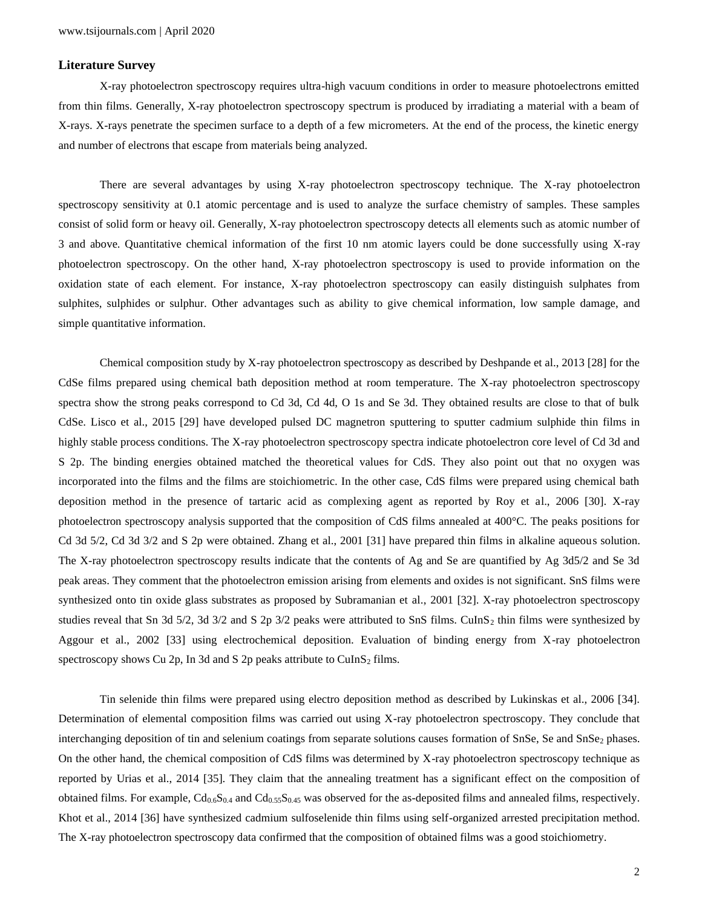### **Literature Survey**

X-ray photoelectron spectroscopy requires ultra-high vacuum conditions in order to measure photoelectrons emitted from thin films. Generally, X-ray photoelectron spectroscopy spectrum is produced by irradiating a material with a beam of X-rays. X-rays penetrate the specimen surface to a depth of a few micrometers. At the end of the process, the kinetic energy and number of electrons that escape from materials being analyzed.

There are several advantages by using X-ray photoelectron spectroscopy technique. The X-ray photoelectron spectroscopy sensitivity at 0.1 atomic percentage and is used to analyze the surface chemistry of samples. These samples consist of solid form or heavy oil. Generally, X-ray photoelectron spectroscopy detects all elements such as atomic number of 3 and above. Quantitative chemical information of the first 10 nm atomic layers could be done successfully using X-ray photoelectron spectroscopy. On the other hand, X-ray photoelectron spectroscopy is used to provide information on the oxidation state of each element. For instance, X-ray photoelectron spectroscopy can easily distinguish sulphates from sulphites, sulphides or sulphur. Other advantages such as ability to give chemical information, low sample damage, and simple quantitative information.

Chemical composition study by X-ray photoelectron spectroscopy as described by Deshpande et al., 2013 [28] for the CdSe films prepared using chemical bath deposition method at room temperature. The X-ray photoelectron spectroscopy spectra show the strong peaks correspond to Cd 3d, Cd 4d, O 1s and Se 3d. They obtained results are close to that of bulk CdSe. Lisco et al., 2015 [29] have developed pulsed DC magnetron sputtering to sputter cadmium sulphide thin films in highly stable process conditions. The X-ray photoelectron spectroscopy spectra indicate photoelectron core level of Cd 3d and S 2p. The binding energies obtained matched the theoretical values for CdS. They also point out that no oxygen was incorporated into the films and the films are stoichiometric. In the other case, CdS films were prepared using chemical bath deposition method in the presence of tartaric acid as complexing agent as reported by Roy et al., 2006 [30]. X-ray photoelectron spectroscopy analysis supported that the composition of CdS films annealed at 400°C. The peaks positions for Cd 3d 5/2, Cd 3d 3/2 and S 2p were obtained. Zhang et al., 2001 [31] have prepared thin films in alkaline aqueous solution. The X-ray photoelectron spectroscopy results indicate that the contents of Ag and Se are quantified by Ag 3d5/2 and Se 3d peak areas. They comment that the photoelectron emission arising from elements and oxides is not significant. SnS films were synthesized onto tin oxide glass substrates as proposed by Subramanian et al., 2001 [32]. X-ray photoelectron spectroscopy studies reveal that Sn 3d 5/2, 3d 3/2 and S 2p 3/2 peaks were attributed to SnS films. CuInS<sub>2</sub> thin films were synthesized by Aggour et al., 2002 [33] using electrochemical deposition. Evaluation of binding energy from X-ray photoelectron spectroscopy shows Cu 2p, In 3d and S 2p peaks attribute to  $CuInS<sub>2</sub>$  films.

Tin selenide thin films were prepared using electro deposition method as described by Lukinskas et al., 2006 [34]. Determination of elemental composition films was carried out using X-ray photoelectron spectroscopy. They conclude that interchanging deposition of tin and selenium coatings from separate solutions causes formation of SnSe, Se and SnSe<sub>2</sub> phases. On the other hand, the chemical composition of CdS films was determined by X-ray photoelectron spectroscopy technique as reported by Urias et al., 2014 [35]. They claim that the annealing treatment has a significant effect on the composition of obtained films. For example, Cd0.6S0.4 and Cd0.55S0.45 was observed for the as-deposited films and annealed films, respectively. Khot et al., 2014 [36] have synthesized cadmium sulfoselenide thin films using self-organized arrested precipitation method. The X-ray photoelectron spectroscopy data confirmed that the composition of obtained films was a good stoichiometry.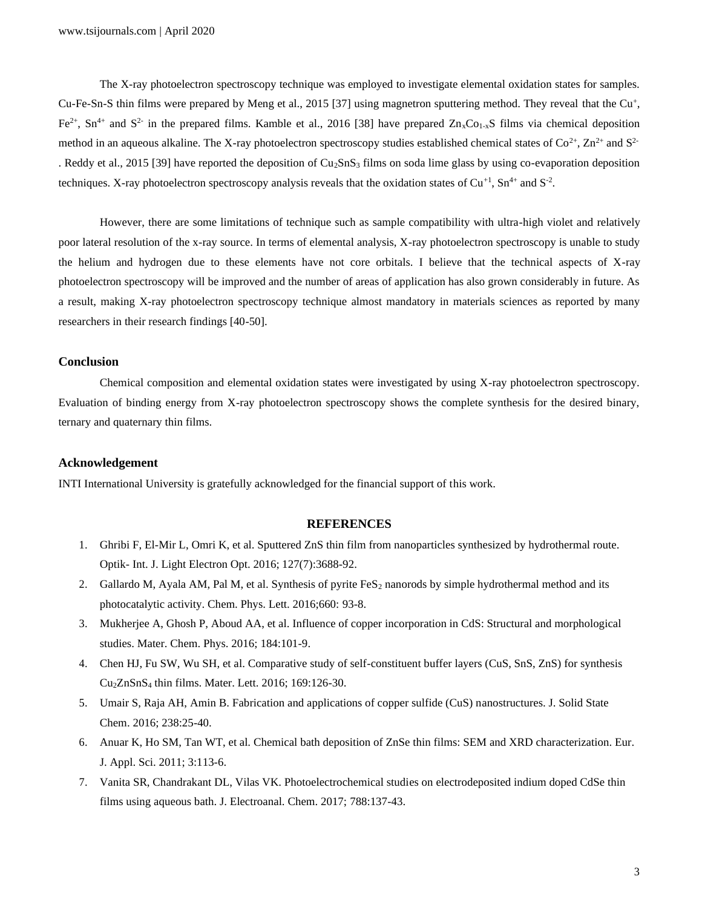The X-ray photoelectron spectroscopy technique was employed to investigate elemental oxidation states for samples. Cu-Fe-Sn-S thin films were prepared by Meng et al., 2015 [37] using magnetron sputtering method. They reveal that the Cu<sup>+</sup>, Fe<sup>2+</sup>, Sn<sup>4+</sup> and S<sup>2-</sup> in the prepared films. Kamble et al., 2016 [38] have prepared  $Zn_xCo_{1-x}S$  films via chemical deposition method in an aqueous alkaline. The X-ray photoelectron spectroscopy studies established chemical states of  $Co^{2+}$ ,  $Zn^{2+}$  and  $S^{2-}$ . Reddy et al., 2015 [39] have reported the deposition of  $Cu_2SnS_3$  films on soda lime glass by using co-evaporation deposition techniques. X-ray photoelectron spectroscopy analysis reveals that the oxidation states of  $Cu^{+1}$ ,  $Sn^{4+}$  and  $S^{-2}$ .

However, there are some limitations of technique such as sample compatibility with ultra-high violet and relatively poor lateral resolution of the x-ray source. In terms of elemental analysis, X-ray photoelectron spectroscopy is unable to study the helium and hydrogen due to these elements have not core orbitals. I believe that the technical aspects of X-ray photoelectron spectroscopy will be improved and the number of areas of application has also grown considerably in future. As a result, making X-ray photoelectron spectroscopy technique almost mandatory in materials sciences as reported by many researchers in their research findings [40-50].

### **Conclusion**

Chemical composition and elemental oxidation states were investigated by using X-ray photoelectron spectroscopy. Evaluation of binding energy from X-ray photoelectron spectroscopy shows the complete synthesis for the desired binary, ternary and quaternary thin films.

#### **Acknowledgement**

INTI International University is gratefully acknowledged for the financial support of this work.

## **REFERENCES**

- 1. Ghribi F, El-Mir L, Omri K, et al. Sputtered ZnS thin film from nanoparticles synthesized by hydrothermal route. Optik- Int. J. Light Electron Opt. 2016; 127(7):3688-92.
- 2. Gallardo M, Ayala AM, Pal M, et al. Synthesis of pyrite  $FeS<sub>2</sub>$  nanorods by simple hydrothermal method and its photocatalytic activity. Chem. Phys. Lett. 2016;660: 93-8.
- 3. Mukherjee A, Ghosh P, Aboud AA, et al. Influence of copper incorporation in CdS: Structural and morphological studies. Mater. Chem. Phys. 2016; 184:101-9.
- 4. Chen HJ, Fu SW, Wu SH, et al. Comparative study of self-constituent buffer layers (CuS, SnS, ZnS) for synthesis Cu2ZnSnS<sup>4</sup> thin films. Mater. Lett. 2016; 169:126-30.
- 5. Umair S, Raja AH, Amin B. Fabrication and applications of copper sulfide (CuS) nanostructures. J. Solid State Chem. 2016; 238:25-40.
- 6. Anuar K, Ho SM, Tan WT, et al. Chemical bath deposition of ZnSe thin films: SEM and XRD characterization. Eur. J. Appl. Sci. 2011; 3:113-6.
- 7. Vanita SR, Chandrakant DL, Vilas VK. Photoelectrochemical studies on electrodeposited indium doped CdSe thin films using aqueous bath. J. Electroanal. Chem. 2017; 788:137-43.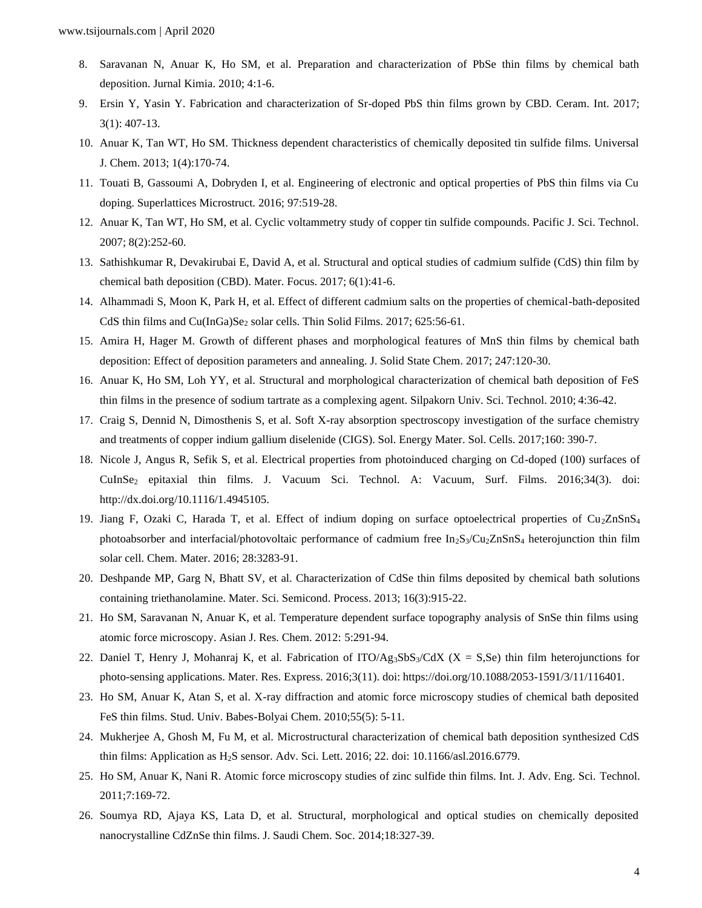- 8. Saravanan N, Anuar K, Ho SM, et al. Preparation and characterization of PbSe thin films by chemical bath deposition. Jurnal Kimia. 2010; 4:1-6.
- 9. Ersin Y, Yasin Y. Fabrication and characterization of Sr-doped PbS thin films grown by CBD. Ceram. Int. 2017; 3(1): 407-13.
- 10. Anuar K, Tan WT, Ho SM. Thickness dependent characteristics of chemically deposited tin sulfide films. Universal J. Chem. 2013; 1(4):170-74.
- 11. Touati B, Gassoumi A, Dobryden I, et al. Engineering of electronic and optical properties of PbS thin films via Cu doping. Superlattices Microstruct. 2016; 97:519-28.
- 12. Anuar K, Tan WT, Ho SM, et al. Cyclic voltammetry study of copper tin sulfide compounds. Pacific J. Sci. Technol. 2007; 8(2):252-60.
- 13. Sathishkumar R, Devakirubai E, David A, et al. Structural and optical studies of cadmium sulfide (CdS) thin film by chemical bath deposition (CBD). Mater. Focus. 2017; 6(1):41-6.
- 14. Alhammadi S, Moon K, Park H, et al. Effect of different cadmium salts on the properties of chemical-bath-deposited CdS thin films and Cu(InGa)Se<sub>2</sub> solar cells. Thin Solid Films. 2017; 625:56-61.
- 15. Amira H, Hager M. Growth of different phases and morphological features of MnS thin films by chemical bath deposition: Effect of deposition parameters and annealing. J. Solid State Chem. 2017; 247:120-30.
- 16. Anuar K, Ho SM, Loh YY, et al. Structural and morphological characterization of chemical bath deposition of FeS thin films in the presence of sodium tartrate as a complexing agent. Silpakorn Univ. Sci. Technol. 2010; 4:36-42.
- 17. Craig S, Dennid N, Dimosthenis S, et al. Soft X-ray absorption spectroscopy investigation of the surface chemistry and treatments of copper indium gallium diselenide (CIGS). Sol. Energy Mater. Sol. Cells. 2017;160: 390-7.
- 18. Nicole J, Angus R, Sefik S, et al. Electrical properties from photoinduced charging on Cd-doped (100) surfaces of CuInSe<sup>2</sup> epitaxial thin films. J. Vacuum Sci. Technol. A: Vacuum, Surf. Films. 2016;34(3). doi[:](http://dx.doi.org/10.1116/1.4945105) [http://dx.doi.org/10.1116/1.4945105.](http://dx.doi.org/10.1116/1.4945105)
- 19. Jiang F, Ozaki C, Harada T, et al. Effect of indium doping on surface optoelectrical properties of Cu<sub>2</sub>ZnSnS<sub>4</sub> photoabsorber and interfacial/photovoltaic performance of cadmium free  $In_2S_3/Cu_2ZnSnS_4$  heterojunction thin film solar cell. Chem. Mater. 2016; 28:3283-91.
- 20. Deshpande MP, Garg N, Bhatt SV, et al. Characterization of CdSe thin films deposited by chemical bath solutions containing triethanolamine. Mater. Sci. Semicond. Process. 2013; 16(3):915-22.
- 21. Ho SM, Saravanan N, Anuar K, et al. Temperature dependent surface topography analysis of SnSe thin films using atomic force microscopy. Asian J. Res. Chem. 2012: 5:291-94.
- 22. Daniel T, Henry J, Mohanraj K, et al. Fabrication of  $ITO/Ag_3SbS_3/CdX$  (X = S, Se) thin film heterojunctions for photo-sensing applications. Mater. Res. Express. 2016;3(11). doi: [https://doi.org/10.1088/2053-1591/3/11/116401.](https://doi.org/10.1088/2053-1591/3/11/116401)
- 23. Ho SM, Anuar K, Atan S, et al. X-ray diffraction and atomic force microscopy studies of chemical bath deposited FeS thin films. Stud. Univ. Babes-Bolyai Chem. 2010;55(5): 5-11.
- 24. Mukherjee A, Ghosh M, Fu M, et al. Microstructural characterization of chemical bath deposition synthesized CdS thin films: Application as H2S sensor. Adv. Sci. Lett. 2016; 22. doi: 10.1166/asl.2016.6779.
- 25. Ho SM, Anuar K, Nani R. Atomic force microscopy studies of zinc sulfide thin films. Int. J. Adv. Eng. Sci. Technol. 2011;7:169-72.
- 26. Soumya RD, Ajaya KS, Lata D, et al. Structural, morphological and optical studies on chemically deposited nanocrystalline CdZnSe thin films. J. Saudi Chem. Soc. 2014;18:327-39.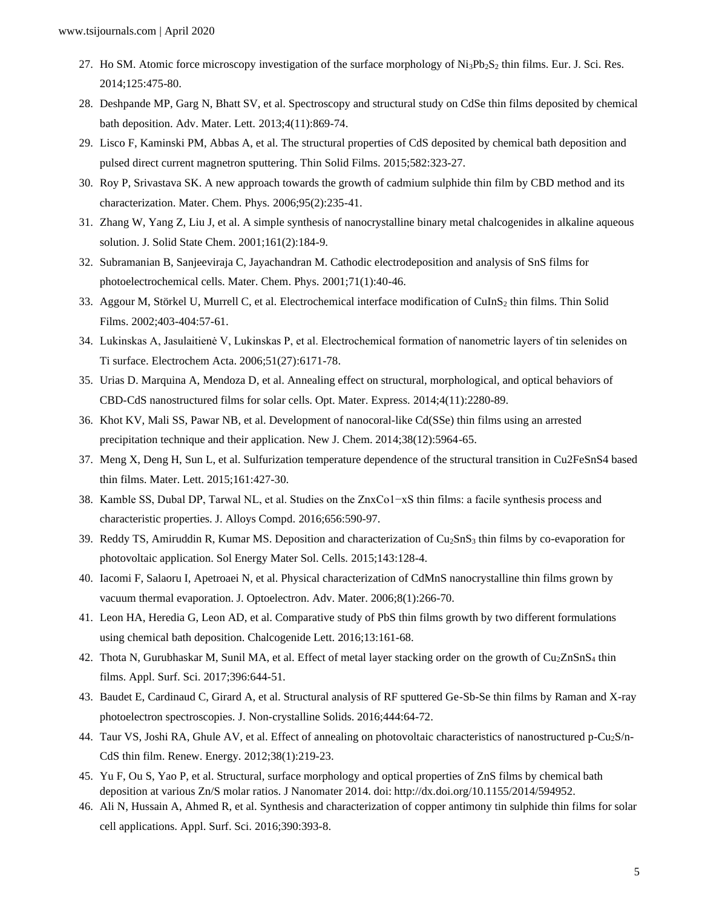- 27. Ho SM. Atomic force microscopy investigation of the surface morphology of  $Ni_3Pb_2S_2$  thin films. Eur. J. Sci. Res. 2014;125:475-80.
- 28. Deshpande MP, Garg N, Bhatt SV, et al. Spectroscopy and structural study on CdSe thin films deposited by chemical bath deposition. Adv. Mater. Lett. 2013;4(11):869-74.
- 29. Lisco F, Kaminski PM, Abbas A, et al. The structural properties of CdS deposited by chemical bath deposition and pulsed direct current magnetron sputtering. Thin Solid Films. 2015;582:323-27.
- 30. Roy P, Srivastava SK. A new approach towards the growth of cadmium sulphide thin film by CBD method and its characterization. Mater. Chem. Phys. 2006;95(2):235-41.
- 31. Zhang W, Yang Z, Liu J, et al. A simple synthesis of nanocrystalline binary metal chalcogenides in alkaline aqueous solution. J. Solid State Chem. 2001;161(2):184-9.
- 32. Subramanian B, Sanjeeviraja C, Jayachandran M. Cathodic electrodeposition and analysis of SnS films for photoelectrochemical cells. Mater. Chem. Phys. 2001;71(1):40-46.
- 33. Aggour M, Störkel U, Murrell C, et al. Electrochemical interface modification of CuInS<sub>2</sub> thin films. Thin Solid Films. 2002;403-404:57-61.
- 34. Lukinskas A, Jasulaitienė V, Lukinskas P, et al. Electrochemical formation of nanometric layers of tin selenides on Ti surface. Electrochem Acta. 2006;51(27):6171-78.
- 35. Urias D. Marquina A, Mendoza D, et al. Annealing effect on structural, morphological, and optical behaviors of CBD-CdS nanostructured films for solar cells. Opt. Mater. Express. 2014;4(11):2280-89.
- 36. Khot KV, Mali SS, Pawar NB, et al. Development of nanocoral-like Cd(SSe) thin films using an arrested precipitation technique and their application. New J. Chem. 2014;38(12):5964-65.
- 37. Meng X, Deng H, Sun L, et al. Sulfurization temperature dependence of the structural transition in Cu2FeSnS4 based thin films. Mater. Lett. 2015;161:427-30.
- 38. Kamble SS, Dubal DP, Tarwal NL, et al. Studies on the ZnxCo1−xS thin films: a facile synthesis process and characteristic properties. J. Alloys Compd. 2016;656:590-97.
- 39. Reddy TS, Amiruddin R, Kumar MS. Deposition and characterization of Cu<sub>2</sub>SnS<sub>3</sub> thin films by co-evaporation for photovoltaic application. Sol Energy Mater Sol. Cells. 2015;143:128-4.
- 40. Iacomi F, Salaoru I, Apetroaei N, et al. Physical characterization of CdMnS nanocrystalline thin films grown by vacuum thermal evaporation. J. Optoelectron. Adv. Mater. 2006;8(1):266-70.
- 41. Leon HA, Heredia G, Leon AD, et al. Comparative study of PbS thin films growth by two different formulations using chemical bath deposition. Chalcogenide Lett. 2016;13:161-68.
- 42. Thota N, Gurubhaskar M, Sunil MA, et al. Effect of metal layer stacking order on the growth of Cu<sub>2</sub>ZnSnS<sub>4</sub> thin films. Appl. Surf. Sci. 2017;396:644-51.
- 43. Baudet E, Cardinaud C, Girard A, et al. Structural analysis of RF sputtered Ge-Sb-Se thin films by Raman and X-ray photoelectron spectroscopies. J. Non-crystalline Solids. 2016;444:64-72.
- 44. Taur VS, Joshi RA, Ghule AV, et al. Effect of annealing on photovoltaic characteristics of nanostructured p-Cu<sub>2</sub>S/n-CdS thin film. Renew. Energy. 2012;38(1):219-23.
- 45. Yu F, Ou S, Yao P, et al. Structural, surface morphology and optical properties of ZnS films by chemical bath deposition at various Zn/S molar ratios. J Nanomater 2014. doi: [http://dx.doi.org/10.1155/2014/594952.](http://dx.doi.org/10.1155/2014/594952)
- 46. Ali N, Hussain A, Ahmed R, et al. Synthesis and characterization of copper antimony tin sulphide thin films for solar cell applications. Appl. Surf. Sci. 2016;390:393-8.